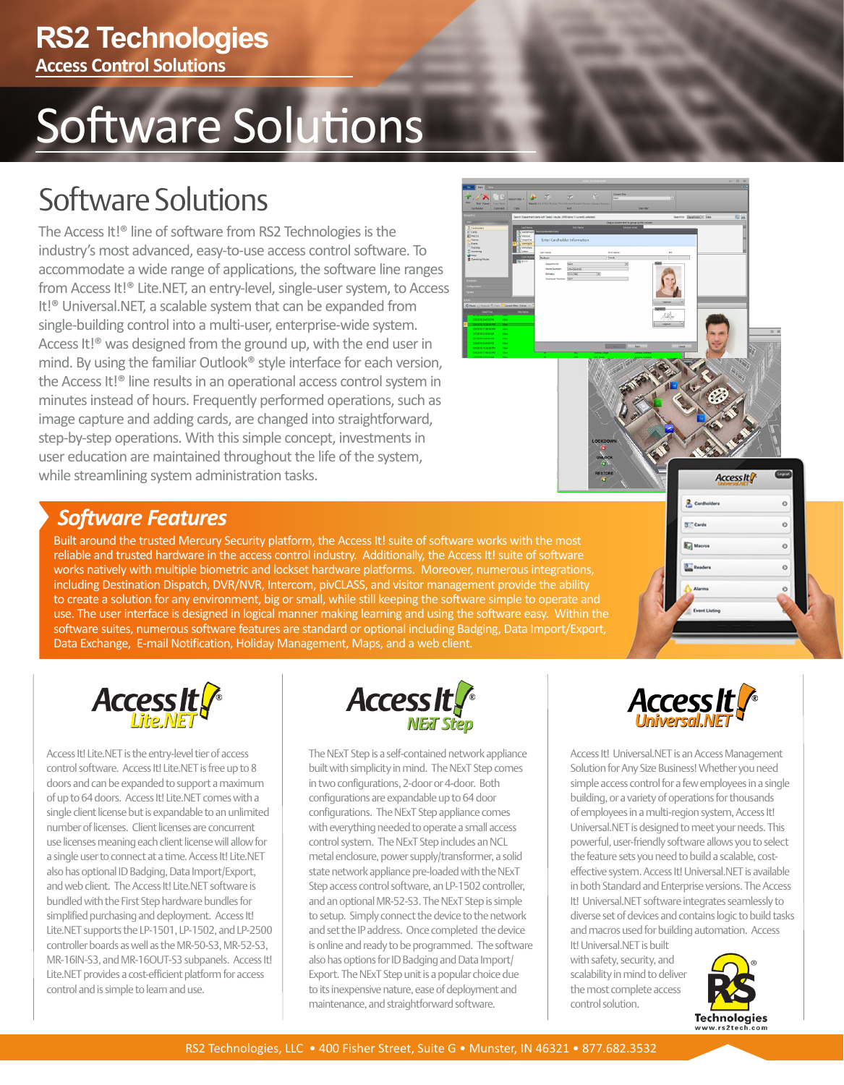# Software Solutions

### Software Solutions

The Access It!® line of software from RS2 Technologies is the industry's most advanced, easy-to-use access control software. To accommodate a wide range of applications, the software line ranges from Access It!® Lite.NET, an entry-level, single-user system, to Access It!® Universal.NET, a scalable system that can be expanded from single-building control into a multi-user, enterprise-wide system. Access It!<sup>®</sup> was designed from the ground up, with the end user in mind. By using the familiar Outlook® style interface for each version, the Access It!® line results in an operational access control system in minutes instead of hours. Frequently performed operations, such as image capture and adding cards, are changed into straightforward, step-by-step operations. With this simple concept, investments in user education are maintained throughout the life of the system, while streamlining system administration tasks.



### *Software Features*

Built around the trusted Mercury Security platform, the Access It! suite of software works with the most reliable and trusted hardware in the access control industry. Additionally, the Access It! suite of software works natively with multiple biometric and lockset hardware platforms. Moreover, numerous integrations, including Destination Dispatch, DVR/NVR, Intercom, pivCLASS, and visitor management provide the ability to create a solution for any environment, big or small, while still keeping the software simple to operate and use. The user interface is designed in logical manner making learning and using the software easy. Within the software suites, numerous software features are standard or optional including Badging, Data Import/Export, Data Exchange, E-mail Notification, Holiday Management, Maps, and a web client.



Access It! Lite.NET is the entry-level tier of access control software. Access It! Lite.NET is free up to 8 doors and can be expanded to support a maximum of up to 64 doors. Access It! Lite.NET comes with a single client license but is expandable to an unlimited number of licenses. Client licenses are concurrent use licenses meaning each client license will allow for a single user to connect at a time. Access It! Lite.NET also has optional ID Badging, Data Import/Export, and web client. The Access It! Lite.NET software is bundled with the First Step hardware bundles for simplified purchasing and deployment. Access It! Lite.NET supports the LP-1501, LP-1502, and LP-2500 controller boards as well as the MR-50-S3, MR-52-S3, MR-16IN-S3, and MR-16OUT-S3 subpanels. Access It! Lite.NET provides a cost-efficient platform for access control and is simple to learn and use.



The NExT Step is a self-contained network appliance built with simplicity in mind. The NExT Step comes in two configurations, 2-door or 4-door. Both configurations are expandable up to 64 door configurations. The NExT Step appliance comes with everything needed to operate a small access control system. The NExT Step includes an NCL metal enclosure, power supply/transformer, a solid state network appliance pre-loaded with the NExT Step access control software, an LP-1502 controller, and an optional MR-52-S3. The NExT Step is simple to setup. Simply connect the device to the network and set the IP address. Once completed the device is online and ready to be programmed. The software also has options for ID Badging and Data Import/ Export. The NExT Step unit is a popular choice due to its inexpensive nature, ease of deployment and maintenance, and straightforward software.



 $2<sub>cm</sub>$ 

**Tel Macr** 

**Access It** 

 $\circ$  $\circ$ 

 $\circ$  $\circ$  $\circ$ 

Access It! Universal.NET is an Access Management Solution for Any Size Business! Whether you need simple access control for a few employees in a single building, or a variety of operations for thousands of employees in a multi-region system, Access It! Universal.NET is designed to meet your needs. This powerful, user-friendly software allows you to select the feature sets you need to build a scalable, costeffective system. Access It! Universal.NET is available in both Standard and Enterprise versions. The Access It! Universal.NET software integrates seamlessly to diverse set of devices and contains logic to build tasks and macros used for building automation. Access It! Universal.NET is built

with safety, security, and scalability in mind to deliver the most complete access control solution.